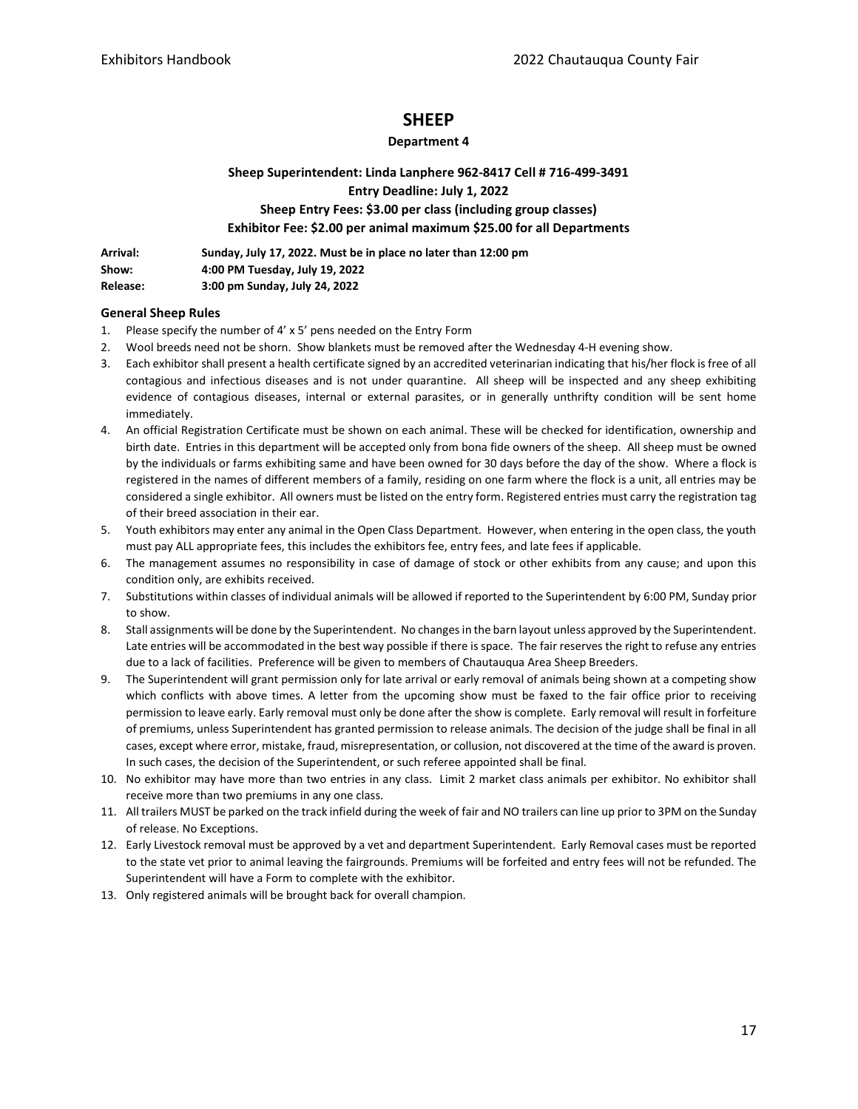## **SHEEP**

## **Department 4**

**Sheep Superintendent: Linda Lanphere 962-8417 Cell # 716-499-3491 Entry Deadline: July 1, 2022 Sheep Entry Fees: \$3.00 per class (including group classes) Exhibitor Fee: \$2.00 per animal maximum \$25.00 for all Departments**

| Arrival:        | Sunday, July 17, 2022. Must be in place no later than 12:00 pm |
|-----------------|----------------------------------------------------------------|
| Show:           | 4:00 PM Tuesday, July 19, 2022                                 |
| <b>Release:</b> | 3:00 pm Sunday, July 24, 2022                                  |

## **General Sheep Rules**

- 1. Please specify the number of 4' x 5' pens needed on the Entry Form
- 2. Wool breeds need not be shorn. Show blankets must be removed after the Wednesday 4-H evening show.
- 3. Each exhibitor shall present a health certificate signed by an accredited veterinarian indicating that his/her flock is free of all contagious and infectious diseases and is not under quarantine. All sheep will be inspected and any sheep exhibiting evidence of contagious diseases, internal or external parasites, or in generally unthrifty condition will be sent home immediately.
- 4. An official Registration Certificate must be shown on each animal. These will be checked for identification, ownership and birth date. Entries in this department will be accepted only from bona fide owners of the sheep. All sheep must be owned by the individuals or farms exhibiting same and have been owned for 30 days before the day of the show. Where a flock is registered in the names of different members of a family, residing on one farm where the flock is a unit, all entries may be considered a single exhibitor. All owners must be listed on the entry form. Registered entries must carry the registration tag of their breed association in their ear.
- 5. Youth exhibitors may enter any animal in the Open Class Department. However, when entering in the open class, the youth must pay ALL appropriate fees, this includes the exhibitors fee, entry fees, and late fees if applicable.
- 6. The management assumes no responsibility in case of damage of stock or other exhibits from any cause; and upon this condition only, are exhibits received.
- 7. Substitutions within classes of individual animals will be allowed if reported to the Superintendent by 6:00 PM, Sunday prior to show.
- 8. Stall assignments will be done by the Superintendent. No changes in the barn layout unless approved by the Superintendent. Late entries will be accommodated in the best way possible if there is space. The fair reserves the right to refuse any entries due to a lack of facilities. Preference will be given to members of Chautauqua Area Sheep Breeders.
- 9. The Superintendent will grant permission only for late arrival or early removal of animals being shown at a competing show which conflicts with above times. A letter from the upcoming show must be faxed to the fair office prior to receiving permission to leave early. Early removal must only be done after the show is complete. Early removal will result in forfeiture of premiums, unless Superintendent has granted permission to release animals. The decision of the judge shall be final in all cases, except where error, mistake, fraud, misrepresentation, or collusion, not discovered at the time of the award is proven. In such cases, the decision of the Superintendent, or such referee appointed shall be final.
- 10. No exhibitor may have more than two entries in any class. Limit 2 market class animals per exhibitor. No exhibitor shall receive more than two premiums in any one class.
- 11. All trailers MUST be parked on the track infield during the week of fair and NO trailers can line up prior to 3PM on the Sunday of release. No Exceptions.
- 12. Early Livestock removal must be approved by a vet and department Superintendent. Early Removal cases must be reported to the state vet prior to animal leaving the fairgrounds. Premiums will be forfeited and entry fees will not be refunded. The Superintendent will have a Form to complete with the exhibitor.
- 13. Only registered animals will be brought back for overall champion.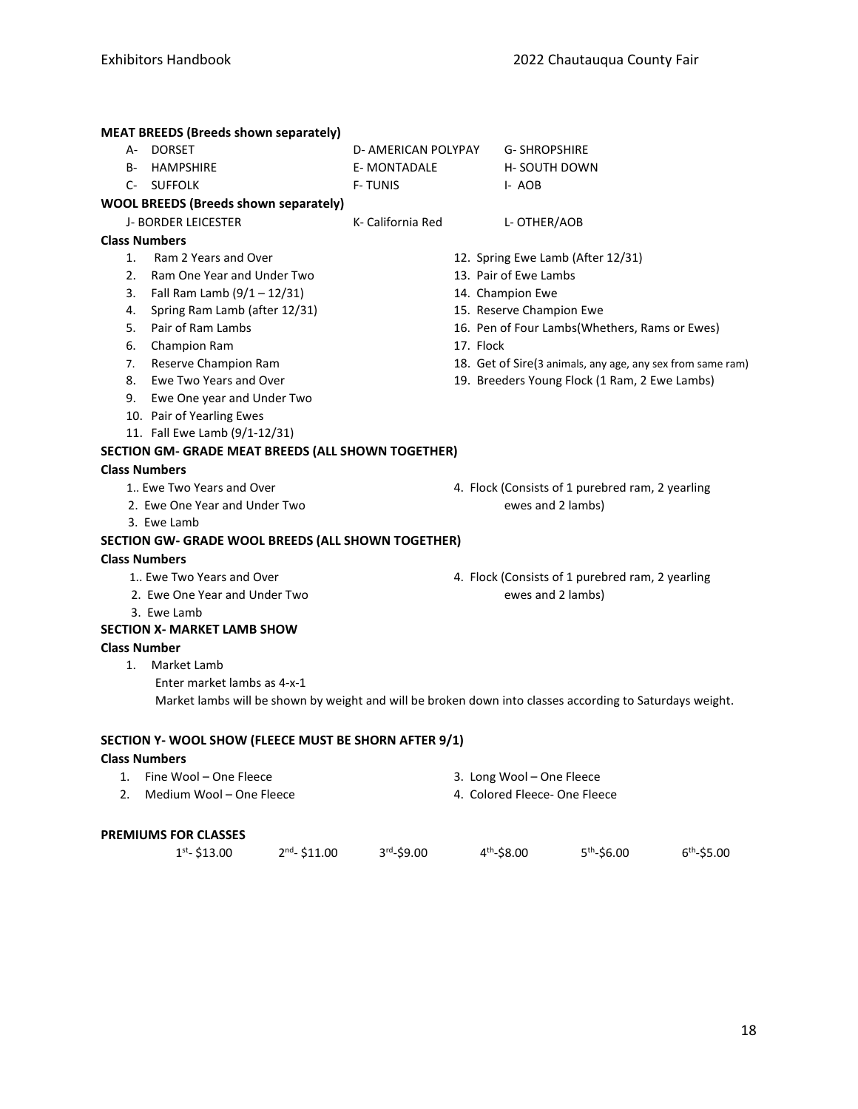| <b>MEAT BREEDS (Breeds shown separately)</b>                                                             |                                 |           |                                                  |                                                            |  |
|----------------------------------------------------------------------------------------------------------|---------------------------------|-----------|--------------------------------------------------|------------------------------------------------------------|--|
| A- DORSET                                                                                                | D- AMERICAN POLYPAY             |           | <b>G-SHROPSHIRE</b>                              |                                                            |  |
| <b>B- HAMPSHIRE</b>                                                                                      | <b>E-MONTADALE</b>              |           | <b>H-SOUTH DOWN</b>                              |                                                            |  |
| C- SUFFOLK                                                                                               | <b>F-TUNIS</b>                  |           | I-AOB                                            |                                                            |  |
| <b>WOOL BREEDS (Breeds shown separately)</b>                                                             |                                 |           |                                                  |                                                            |  |
| <b>J- BORDER LEICESTER</b>                                                                               | K- California Red               |           | L- OTHER/AOB                                     |                                                            |  |
| <b>Class Numbers</b>                                                                                     |                                 |           |                                                  |                                                            |  |
| Ram 2 Years and Over<br>1.                                                                               |                                 |           | 12. Spring Ewe Lamb (After 12/31)                |                                                            |  |
| 2.<br>Ram One Year and Under Two                                                                         |                                 |           | 13. Pair of Ewe Lambs                            |                                                            |  |
| 3. Fall Ram Lamb $(9/1 - 12/31)$                                                                         |                                 |           | 14. Champion Ewe                                 |                                                            |  |
| Spring Ram Lamb (after 12/31)<br>4.                                                                      |                                 |           | 15. Reserve Champion Ewe                         |                                                            |  |
| Pair of Ram Lambs<br>5.                                                                                  |                                 |           |                                                  | 16. Pen of Four Lambs(Whethers, Rams or Ewes)              |  |
| Champion Ram<br>6.                                                                                       |                                 | 17. Flock |                                                  |                                                            |  |
| Reserve Champion Ram<br>7.                                                                               |                                 |           |                                                  | 18. Get of Sire(3 animals, any age, any sex from same ram) |  |
| Ewe Two Years and Over<br>8.                                                                             |                                 |           | 19. Breeders Young Flock (1 Ram, 2 Ewe Lambs)    |                                                            |  |
| 9. Ewe One year and Under Two                                                                            |                                 |           |                                                  |                                                            |  |
| 10. Pair of Yearling Ewes                                                                                |                                 |           |                                                  |                                                            |  |
| 11. Fall Ewe Lamb (9/1-12/31)                                                                            |                                 |           |                                                  |                                                            |  |
| SECTION GM- GRADE MEAT BREEDS (ALL SHOWN TOGETHER)                                                       |                                 |           |                                                  |                                                            |  |
| <b>Class Numbers</b>                                                                                     |                                 |           |                                                  |                                                            |  |
| 1 Ewe Two Years and Over                                                                                 |                                 |           | 4. Flock (Consists of 1 purebred ram, 2 yearling |                                                            |  |
| 2. Ewe One Year and Under Two                                                                            |                                 |           | ewes and 2 lambs)                                |                                                            |  |
| 3. Ewe Lamb                                                                                              |                                 |           |                                                  |                                                            |  |
| SECTION GW- GRADE WOOL BREEDS (ALL SHOWN TOGETHER)                                                       |                                 |           |                                                  |                                                            |  |
| <b>Class Numbers</b>                                                                                     |                                 |           |                                                  |                                                            |  |
| 1 Ewe Two Years and Over                                                                                 |                                 |           | 4. Flock (Consists of 1 purebred ram, 2 yearling |                                                            |  |
| 2. Ewe One Year and Under Two                                                                            |                                 |           | ewes and 2 lambs)                                |                                                            |  |
| 3. Ewe Lamb                                                                                              |                                 |           |                                                  |                                                            |  |
| <b>SECTION X- MARKET LAMB SHOW</b>                                                                       |                                 |           |                                                  |                                                            |  |
| <b>Class Number</b>                                                                                      |                                 |           |                                                  |                                                            |  |
| Market Lamb<br>1.                                                                                        |                                 |           |                                                  |                                                            |  |
| Enter market lambs as 4-x-1                                                                              |                                 |           |                                                  |                                                            |  |
| Market lambs will be shown by weight and will be broken down into classes according to Saturdays weight. |                                 |           |                                                  |                                                            |  |
|                                                                                                          |                                 |           |                                                  |                                                            |  |
| SECTION Y- WOOL SHOW (FLEECE MUST BE SHORN AFTER 9/1)                                                    |                                 |           |                                                  |                                                            |  |
|                                                                                                          |                                 |           |                                                  |                                                            |  |
| <b>Class Numbers</b>                                                                                     |                                 |           |                                                  |                                                            |  |
| Fine Wool - One Fleece<br>1.                                                                             |                                 |           | 3. Long Wool - One Fleece                        |                                                            |  |
| Medium Wool - One Fleece<br>2.                                                                           |                                 |           | 4. Colored Fleece- One Fleece                    |                                                            |  |
|                                                                                                          |                                 |           |                                                  |                                                            |  |
| <b>PREMIUMS FOR CLASSES</b>                                                                              |                                 |           |                                                  |                                                            |  |
| $1st - $13.00$                                                                                           | $2nd - $11.00$<br>$3rd - $9.00$ |           | $4th - $8.00$<br>$5th - $6.00$                   | $6th - $5.00$                                              |  |
|                                                                                                          |                                 |           |                                                  |                                                            |  |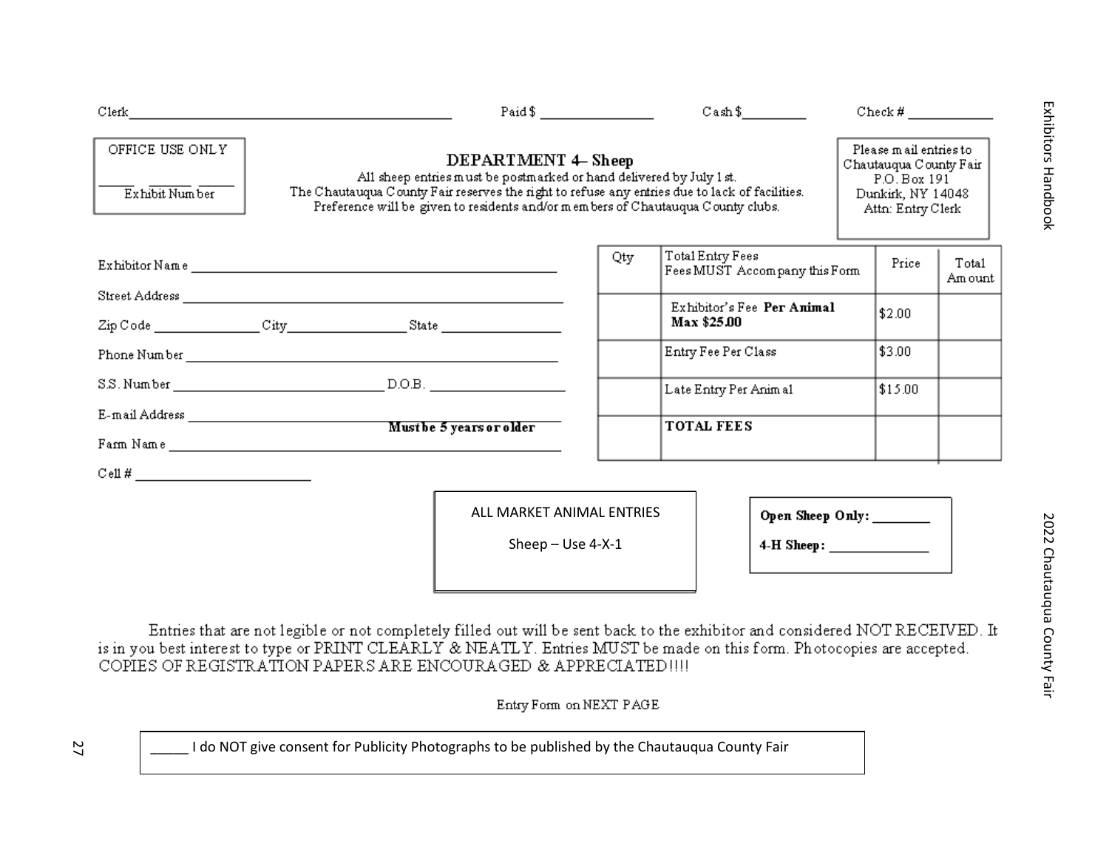|                                   | Paid \$                                                                                                                                                                                                                                                                                                                                                                                         |                                                  | $\text{Cash }$ \$                                 | $Check # \_$             |                  |
|-----------------------------------|-------------------------------------------------------------------------------------------------------------------------------------------------------------------------------------------------------------------------------------------------------------------------------------------------------------------------------------------------------------------------------------------------|--------------------------------------------------|---------------------------------------------------|--------------------------|------------------|
| OFFICE USE ONLY<br>Exhibit Number | Please mail entries to<br>DEPARTMENT 4– Sheep<br>Chautauqua County Fair<br>All sheep entries must be postmarked or hand delivered by July 1 st.<br>P.O. Box 191<br>The Chautauqua County Fair reserves the right to refuse any entries due to lack of facilities.<br>Dunkirk, NY 14048<br>Preference will be given to residents and/or members of Chautauqua County clubs.<br>Attn: Entry Clerk |                                                  |                                                   |                          |                  |
|                                   |                                                                                                                                                                                                                                                                                                                                                                                                 | Qty                                              | Total Entry Fees<br>Fees MUST Accompany this Form | Price                    | Total<br>Am ount |
|                                   | $\text{Zip Code } \_\_\_\_\_ \ \text{City} \_\_\_\_\_\_ \ \text{State} \_\_\_\_\_\_\_\_\_ \$                                                                                                                                                                                                                                                                                                    |                                                  | Exhibitor's Fee Per Animal<br>Max \$25.00         | \$2.00                   |                  |
|                                   |                                                                                                                                                                                                                                                                                                                                                                                                 |                                                  | Entry Fee Per Class                               | \$3.00                   |                  |
|                                   |                                                                                                                                                                                                                                                                                                                                                                                                 |                                                  | Late Entry Per Animal                             | \$15.00                  |                  |
|                                   |                                                                                                                                                                                                                                                                                                                                                                                                 |                                                  | <b>TOTAL FEES</b>                                 |                          |                  |
|                                   |                                                                                                                                                                                                                                                                                                                                                                                                 | ALL MARKET ANIMAL ENTRIES<br>Sheep $-$ Use 4-X-1 |                                                   | Open Sheep Only: _______ |                  |
|                                   | Entries that are not legible or not completely filled out will be sent back to the exhibitor and considered NOT RECEIVED. It<br>is in you best interest to type or PRINT CLEARLY & NEATLY. Entries MUST be made on this form. Photocopies are accepted.<br>COPIES OF REGISTRATION PAPERS ARE ENCOURAGED & APPRECIATED !!!!                                                                      |                                                  |                                                   |                          |                  |

Entry Form on NEXT PAGE

\_\_\_\_\_ I do NOT give consent for Publicity Photographs to be published by the Chautauqua County Fair

27